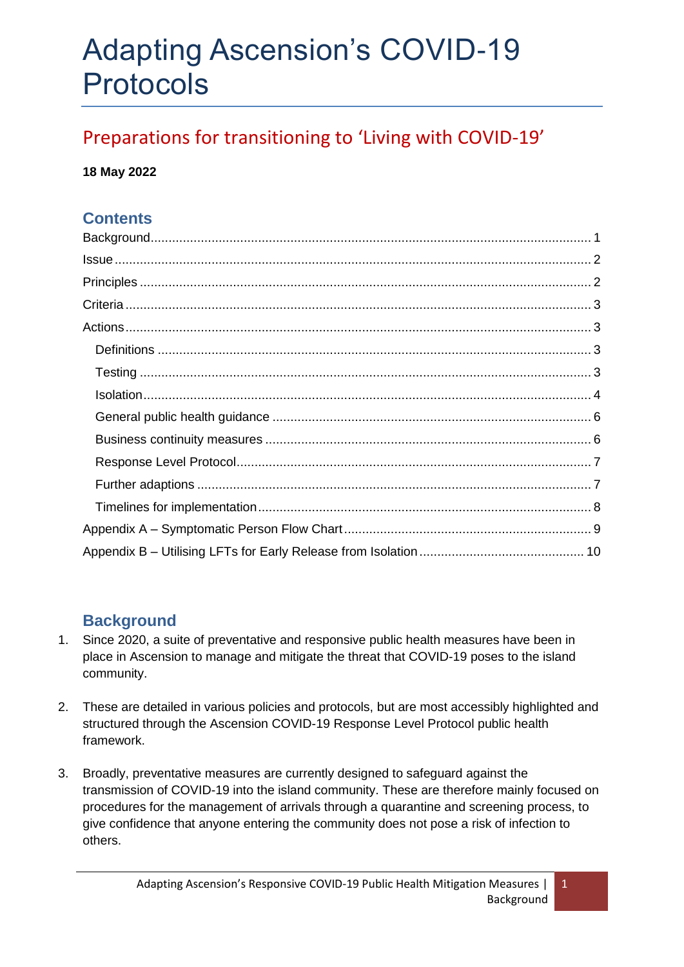# Adapting Ascension's COVID-19 Protocols

## Preparations for transitioning to 'Living with COVID-19'

#### **18 May 2022**

## **Contents**

## <span id="page-0-0"></span>**Background**

- 1. Since 2020, a suite of preventative and responsive public health measures have been in place in Ascension to manage and mitigate the threat that COVID-19 poses to the island community.
- 2. These are detailed in various policies and protocols, but are most accessibly highlighted and structured through the Ascension COVID-19 Response Level Protocol public health framework.
- 3. Broadly, preventative measures are currently designed to safeguard against the transmission of COVID-19 into the island community. These are therefore mainly focused on procedures for the management of arrivals through a quarantine and screening process, to give confidence that anyone entering the community does not pose a risk of infection to others.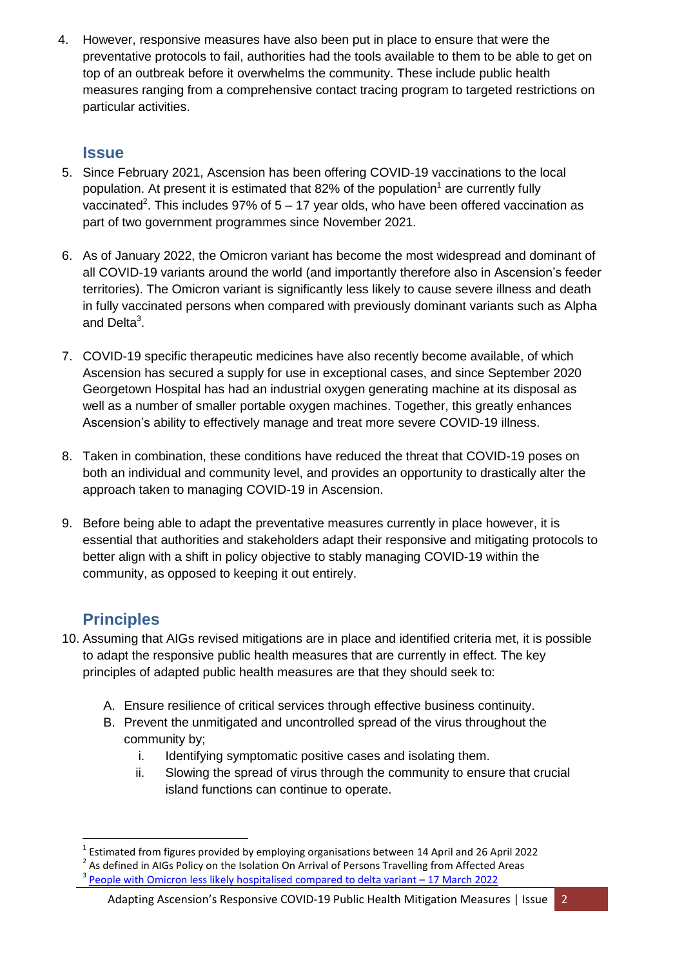4. However, responsive measures have also been put in place to ensure that were the preventative protocols to fail, authorities had the tools available to them to be able to get on top of an outbreak before it overwhelms the community. These include public health measures ranging from a comprehensive contact tracing program to targeted restrictions on particular activities.

### <span id="page-1-0"></span>**Issue**

- 5. Since February 2021, Ascension has been offering COVID-19 vaccinations to the local population. At present it is estimated that 82% of the population<sup>1</sup> are currently fully vaccinated<sup>2</sup>. This includes 97% of 5 – 17 year olds, who have been offered vaccination as part of two government programmes since November 2021.
- 6. As of January 2022, the Omicron variant has become the most widespread and dominant of all COVID-19 variants around the world (and importantly therefore also in Ascension's feeder territories). The Omicron variant is significantly less likely to cause severe illness and death in fully vaccinated persons when compared with previously dominant variants such as Alpha and Delta<sup>3</sup>.
- 7. COVID-19 specific therapeutic medicines have also recently become available, of which Ascension has secured a supply for use in exceptional cases, and since September 2020 Georgetown Hospital has had an industrial oxygen generating machine at its disposal as well as a number of smaller portable oxygen machines. Together, this greatly enhances Ascension's ability to effectively manage and treat more severe COVID-19 illness.
- 8. Taken in combination, these conditions have reduced the threat that COVID-19 poses on both an individual and community level, and provides an opportunity to drastically alter the approach taken to managing COVID-19 in Ascension.
- 9. Before being able to adapt the preventative measures currently in place however, it is essential that authorities and stakeholders adapt their responsive and mitigating protocols to better align with a shift in policy objective to stably managing COVID-19 within the community, as opposed to keeping it out entirely.

## <span id="page-1-1"></span>**Principles**

- 10. Assuming that AIGs revised mitigations are in place and identified criteria met, it is possible to adapt the responsive public health measures that are currently in effect. The key principles of adapted public health measures are that they should seek to:
	- A. Ensure resilience of critical services through effective business continuity.
	- B. Prevent the unmitigated and uncontrolled spread of the virus throughout the community by;
		- i. Identifying symptomatic positive cases and isolating them.
		- ii. Slowing the spread of virus through the community to ensure that crucial island functions can continue to operate.

<sup>1</sup> 1 Estimated from figures provided by employing organisations between 14 April and 26 April 2022

<sup>2</sup> As defined in AIGs Policy on the Isolation On Arrival of Persons Travelling from Affected Areas 3

[People with Omicron less likely hospitalised](https://www.imperial.ac.uk/news/234736/people-with-omicron-variant-less-likely/#:~:text=Largest%20study%20on%20severity&text=The%20Omicron%20variant%20has%20previously,and%20more%20than%2080%25%20globally.) compared to delta variant – 17 March 2022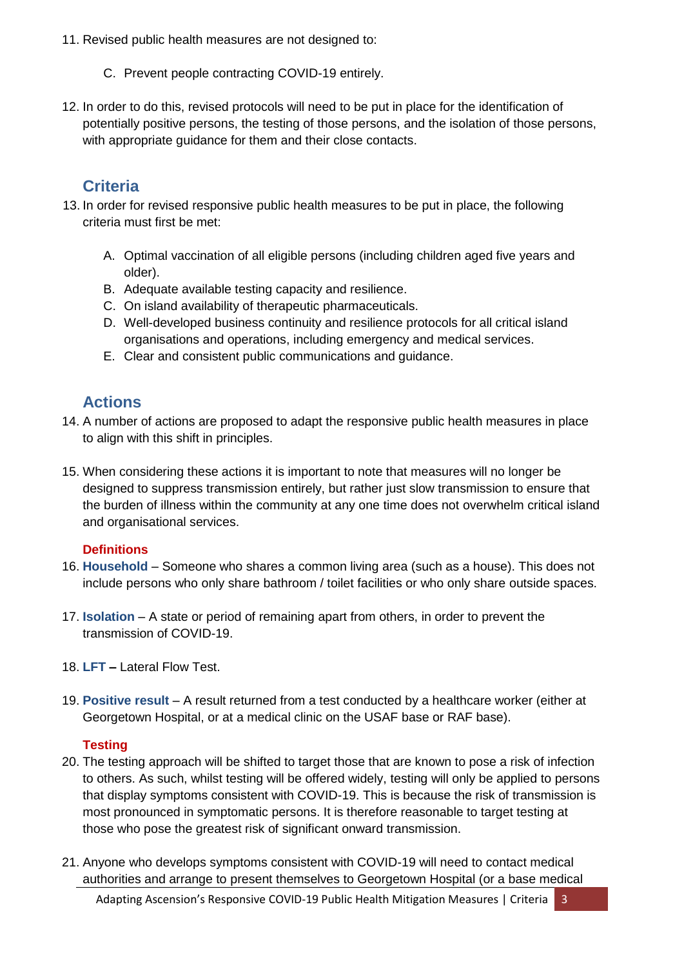- 11. Revised public health measures are not designed to:
	- C. Prevent people contracting COVID-19 entirely.
- 12. In order to do this, revised protocols will need to be put in place for the identification of potentially positive persons, the testing of those persons, and the isolation of those persons, with appropriate guidance for them and their close contacts.

## <span id="page-2-0"></span>**Criteria**

- 13. In order for revised responsive public health measures to be put in place, the following criteria must first be met:
	- A. Optimal vaccination of all eligible persons (including children aged five years and older).
	- B. Adequate available testing capacity and resilience.
	- C. On island availability of therapeutic pharmaceuticals.
	- D. Well-developed business continuity and resilience protocols for all critical island organisations and operations, including emergency and medical services.
	- E. Clear and consistent public communications and guidance.

## <span id="page-2-1"></span>**Actions**

- 14. A number of actions are proposed to adapt the responsive public health measures in place to align with this shift in principles.
- 15. When considering these actions it is important to note that measures will no longer be designed to suppress transmission entirely, but rather just slow transmission to ensure that the burden of illness within the community at any one time does not overwhelm critical island and organisational services.

#### <span id="page-2-2"></span>**Definitions**

- 16. **Household** Someone who shares a common living area (such as a house). This does not include persons who only share bathroom / toilet facilities or who only share outside spaces.
- 17. **Isolation**  A state or period of remaining apart from others, in order to prevent the transmission of COVID-19.
- 18. **LFT –** Lateral Flow Test.
- 19. **Positive result** A result returned from a test conducted by a healthcare worker (either at Georgetown Hospital, or at a medical clinic on the USAF base or RAF base).

#### <span id="page-2-3"></span>**Testing**

- 20. The testing approach will be shifted to target those that are known to pose a risk of infection to others. As such, whilst testing will be offered widely, testing will only be applied to persons that display symptoms consistent with COVID-19. This is because the risk of transmission is most pronounced in symptomatic persons. It is therefore reasonable to target testing at those who pose the greatest risk of significant onward transmission.
- 21. Anyone who develops symptoms consistent with COVID-19 will need to contact medical authorities and arrange to present themselves to Georgetown Hospital (or a base medical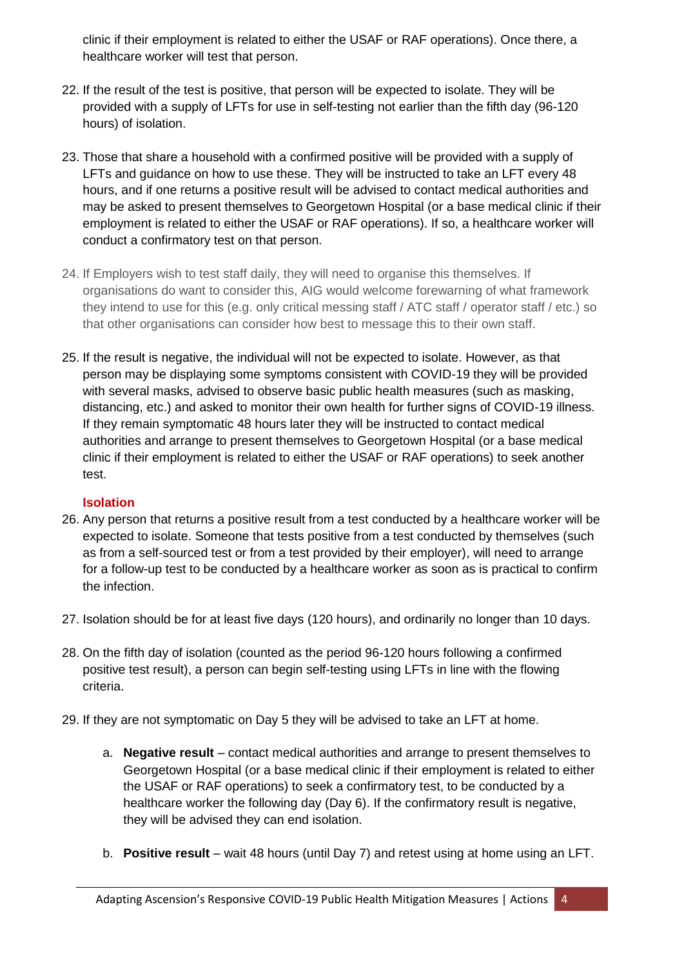clinic if their employment is related to either the USAF or RAF operations). Once there, a healthcare worker will test that person.

- 22. If the result of the test is positive, that person will be expected to isolate. They will be provided with a supply of LFTs for use in self-testing not earlier than the fifth day (96-120 hours) of isolation.
- 23. Those that share a household with a confirmed positive will be provided with a supply of LFTs and guidance on how to use these. They will be instructed to take an LFT every 48 hours, and if one returns a positive result will be advised to contact medical authorities and may be asked to present themselves to Georgetown Hospital (or a base medical clinic if their employment is related to either the USAF or RAF operations). If so, a healthcare worker will conduct a confirmatory test on that person.
- 24. If Employers wish to test staff daily, they will need to organise this themselves. If organisations do want to consider this, AIG would welcome forewarning of what framework they intend to use for this (e.g. only critical messing staff / ATC staff / operator staff / etc.) so that other organisations can consider how best to message this to their own staff.
- 25. If the result is negative, the individual will not be expected to isolate. However, as that person may be displaying some symptoms consistent with COVID-19 they will be provided with several masks, advised to observe basic public health measures (such as masking, distancing, etc.) and asked to monitor their own health for further signs of COVID-19 illness. If they remain symptomatic 48 hours later they will be instructed to contact medical authorities and arrange to present themselves to Georgetown Hospital (or a base medical clinic if their employment is related to either the USAF or RAF operations) to seek another test.

#### <span id="page-3-0"></span>**Isolation**

- 26. Any person that returns a positive result from a test conducted by a healthcare worker will be expected to isolate. Someone that tests positive from a test conducted by themselves (such as from a self-sourced test or from a test provided by their employer), will need to arrange for a follow-up test to be conducted by a healthcare worker as soon as is practical to confirm the infection.
- 27. Isolation should be for at least five days (120 hours), and ordinarily no longer than 10 days.
- 28. On the fifth day of isolation (counted as the period 96-120 hours following a confirmed positive test result), a person can begin self-testing using LFTs in line with the flowing criteria.
- 29. If they are not symptomatic on Day 5 they will be advised to take an LFT at home.
	- a. **Negative result** contact medical authorities and arrange to present themselves to Georgetown Hospital (or a base medical clinic if their employment is related to either the USAF or RAF operations) to seek a confirmatory test, to be conducted by a healthcare worker the following day (Day 6). If the confirmatory result is negative, they will be advised they can end isolation.
	- b. **Positive result** wait 48 hours (until Day 7) and retest using at home using an LFT.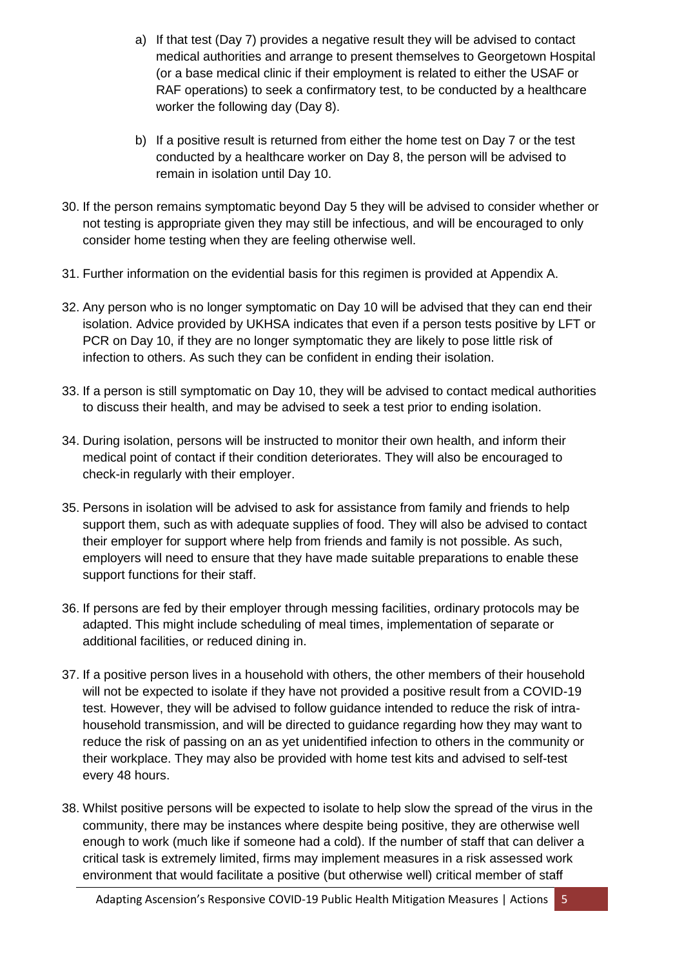- a) If that test (Day 7) provides a negative result they will be advised to contact medical authorities and arrange to present themselves to Georgetown Hospital (or a base medical clinic if their employment is related to either the USAF or RAF operations) to seek a confirmatory test, to be conducted by a healthcare worker the following day (Day 8).
- b) If a positive result is returned from either the home test on Day 7 or the test conducted by a healthcare worker on Day 8, the person will be advised to remain in isolation until Day 10.
- 30. If the person remains symptomatic beyond Day 5 they will be advised to consider whether or not testing is appropriate given they may still be infectious, and will be encouraged to only consider home testing when they are feeling otherwise well.
- 31. Further information on the evidential basis for this regimen is provided at Appendix A.
- 32. Any person who is no longer symptomatic on Day 10 will be advised that they can end their isolation. Advice provided by UKHSA indicates that even if a person tests positive by LFT or PCR on Day 10, if they are no longer symptomatic they are likely to pose little risk of infection to others. As such they can be confident in ending their isolation.
- 33. If a person is still symptomatic on Day 10, they will be advised to contact medical authorities to discuss their health, and may be advised to seek a test prior to ending isolation.
- 34. During isolation, persons will be instructed to monitor their own health, and inform their medical point of contact if their condition deteriorates. They will also be encouraged to check-in regularly with their employer.
- 35. Persons in isolation will be advised to ask for assistance from family and friends to help support them, such as with adequate supplies of food. They will also be advised to contact their employer for support where help from friends and family is not possible. As such, employers will need to ensure that they have made suitable preparations to enable these support functions for their staff.
- 36. If persons are fed by their employer through messing facilities, ordinary protocols may be adapted. This might include scheduling of meal times, implementation of separate or additional facilities, or reduced dining in.
- 37. If a positive person lives in a household with others, the other members of their household will not be expected to isolate if they have not provided a positive result from a COVID-19 test. However, they will be advised to follow guidance intended to reduce the risk of intrahousehold transmission, and will be directed to guidance regarding how they may want to reduce the risk of passing on an as yet unidentified infection to others in the community or their workplace. They may also be provided with home test kits and advised to self-test every 48 hours.
- 38. Whilst positive persons will be expected to isolate to help slow the spread of the virus in the community, there may be instances where despite being positive, they are otherwise well enough to work (much like if someone had a cold). If the number of staff that can deliver a critical task is extremely limited, firms may implement measures in a risk assessed work environment that would facilitate a positive (but otherwise well) critical member of staff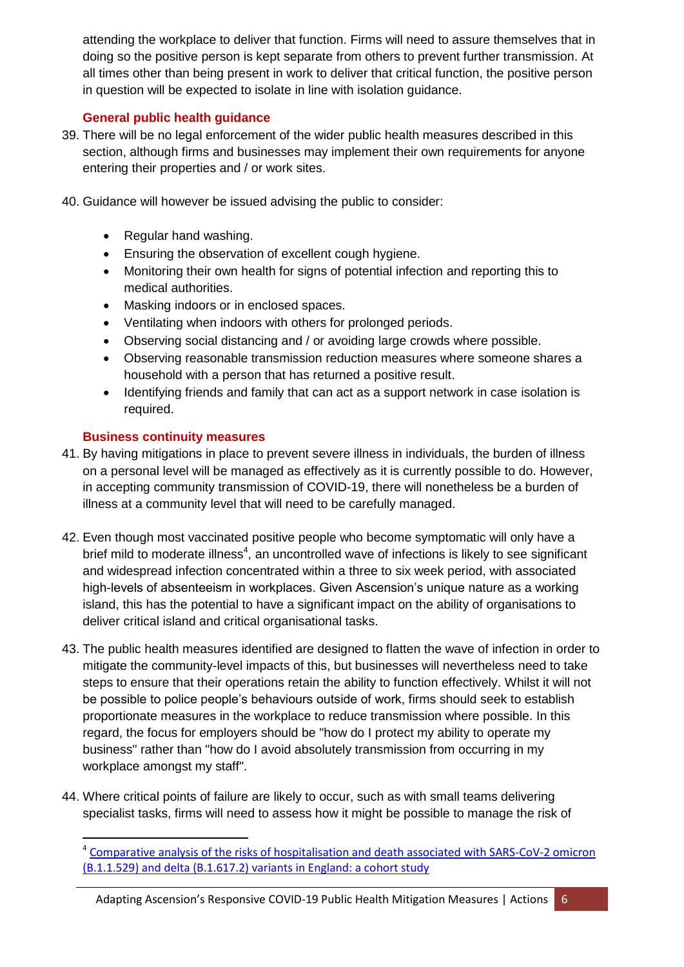attending the workplace to deliver that function. Firms will need to assure themselves that in doing so the positive person is kept separate from others to prevent further transmission. At all times other than being present in work to deliver that critical function, the positive person in question will be expected to isolate in line with isolation guidance.

#### <span id="page-5-0"></span>**General public health guidance**

- 39. There will be no legal enforcement of the wider public health measures described in this section, although firms and businesses may implement their own requirements for anyone entering their properties and / or work sites.
- 40. Guidance will however be issued advising the public to consider:
	- Regular hand washing.
	- Ensuring the observation of excellent cough hygiene.
	- Monitoring their own health for signs of potential infection and reporting this to medical authorities.
	- Masking indoors or in enclosed spaces.
	- Ventilating when indoors with others for prolonged periods.
	- Observing social distancing and / or avoiding large crowds where possible.
	- Observing reasonable transmission reduction measures where someone shares a household with a person that has returned a positive result.
	- Identifying friends and family that can act as a support network in case isolation is required.

#### <span id="page-5-1"></span>**Business continuity measures**

 $\overline{\phantom{a}}$ 

- 41. By having mitigations in place to prevent severe illness in individuals, the burden of illness on a personal level will be managed as effectively as it is currently possible to do. However, in accepting community transmission of COVID-19, there will nonetheless be a burden of illness at a community level that will need to be carefully managed.
- 42. Even though most vaccinated positive people who become symptomatic will only have a brief mild to moderate illness<sup>4</sup>, an uncontrolled wave of infections is likely to see significant and widespread infection concentrated within a three to six week period, with associated high-levels of absenteeism in workplaces. Given Ascension's unique nature as a working island, this has the potential to have a significant impact on the ability of organisations to deliver critical island and critical organisational tasks.
- 43. The public health measures identified are designed to flatten the wave of infection in order to mitigate the community-level impacts of this, but businesses will nevertheless need to take steps to ensure that their operations retain the ability to function effectively. Whilst it will not be possible to police people's behaviours outside of work, firms should seek to establish proportionate measures in the workplace to reduce transmission where possible. In this regard, the focus for employers should be "how do I protect my ability to operate my business" rather than "how do I avoid absolutely transmission from occurring in my workplace amongst my staff".
- 44. Where critical points of failure are likely to occur, such as with small teams delivering specialist tasks, firms will need to assess how it might be possible to manage the risk of

<sup>&</sup>lt;sup>4</sup> Comparative analysis of the risks of hospitalisation and death associated with SARS-CoV-2 omicron [\(B.1.1.529\) and delta \(B.1.617.2\) variants in England: a cohort study](https://www.thelancet.com/journals/lancet/article/PIIS0140-6736(22)00462-7/fulltext)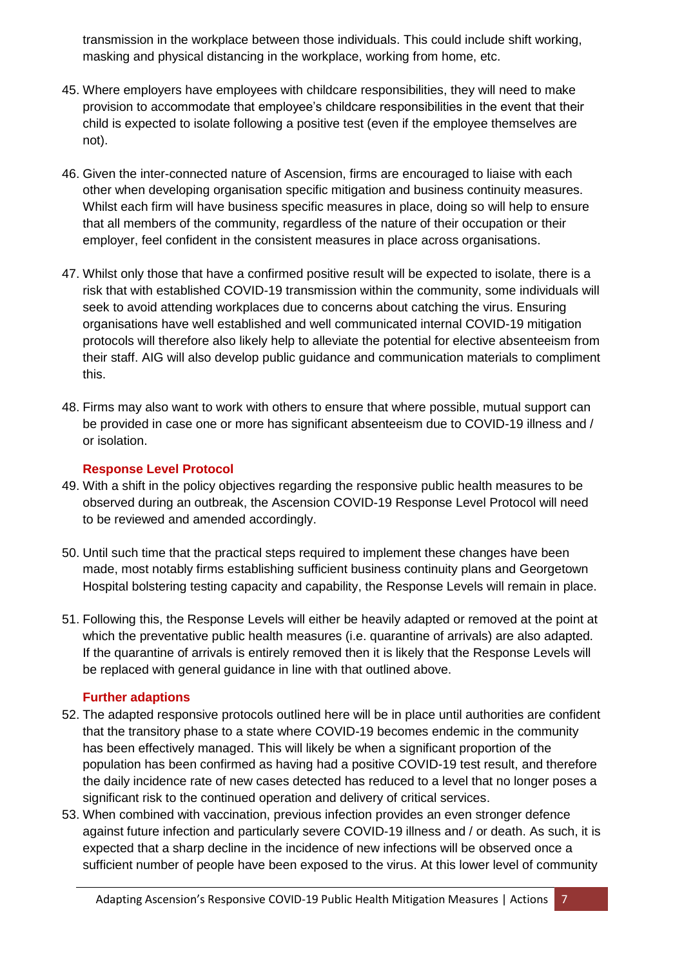transmission in the workplace between those individuals. This could include shift working, masking and physical distancing in the workplace, working from home, etc.

- 45. Where employers have employees with childcare responsibilities, they will need to make provision to accommodate that employee's childcare responsibilities in the event that their child is expected to isolate following a positive test (even if the employee themselves are not).
- 46. Given the inter-connected nature of Ascension, firms are encouraged to liaise with each other when developing organisation specific mitigation and business continuity measures. Whilst each firm will have business specific measures in place, doing so will help to ensure that all members of the community, regardless of the nature of their occupation or their employer, feel confident in the consistent measures in place across organisations.
- 47. Whilst only those that have a confirmed positive result will be expected to isolate, there is a risk that with established COVID-19 transmission within the community, some individuals will seek to avoid attending workplaces due to concerns about catching the virus. Ensuring organisations have well established and well communicated internal COVID-19 mitigation protocols will therefore also likely help to alleviate the potential for elective absenteeism from their staff. AIG will also develop public guidance and communication materials to compliment this.
- 48. Firms may also want to work with others to ensure that where possible, mutual support can be provided in case one or more has significant absenteeism due to COVID-19 illness and / or isolation.

#### <span id="page-6-0"></span>**Response Level Protocol**

- 49. With a shift in the policy objectives regarding the responsive public health measures to be observed during an outbreak, the Ascension COVID-19 Response Level Protocol will need to be reviewed and amended accordingly.
- 50. Until such time that the practical steps required to implement these changes have been made, most notably firms establishing sufficient business continuity plans and Georgetown Hospital bolstering testing capacity and capability, the Response Levels will remain in place.
- 51. Following this, the Response Levels will either be heavily adapted or removed at the point at which the preventative public health measures (i.e. quarantine of arrivals) are also adapted. If the quarantine of arrivals is entirely removed then it is likely that the Response Levels will be replaced with general guidance in line with that outlined above.

#### <span id="page-6-1"></span>**Further adaptions**

- 52. The adapted responsive protocols outlined here will be in place until authorities are confident that the transitory phase to a state where COVID-19 becomes endemic in the community has been effectively managed. This will likely be when a significant proportion of the population has been confirmed as having had a positive COVID-19 test result, and therefore the daily incidence rate of new cases detected has reduced to a level that no longer poses a significant risk to the continued operation and delivery of critical services.
- 53. When combined with vaccination, previous infection provides an even stronger defence against future infection and particularly severe COVID-19 illness and / or death. As such, it is expected that a sharp decline in the incidence of new infections will be observed once a sufficient number of people have been exposed to the virus. At this lower level of community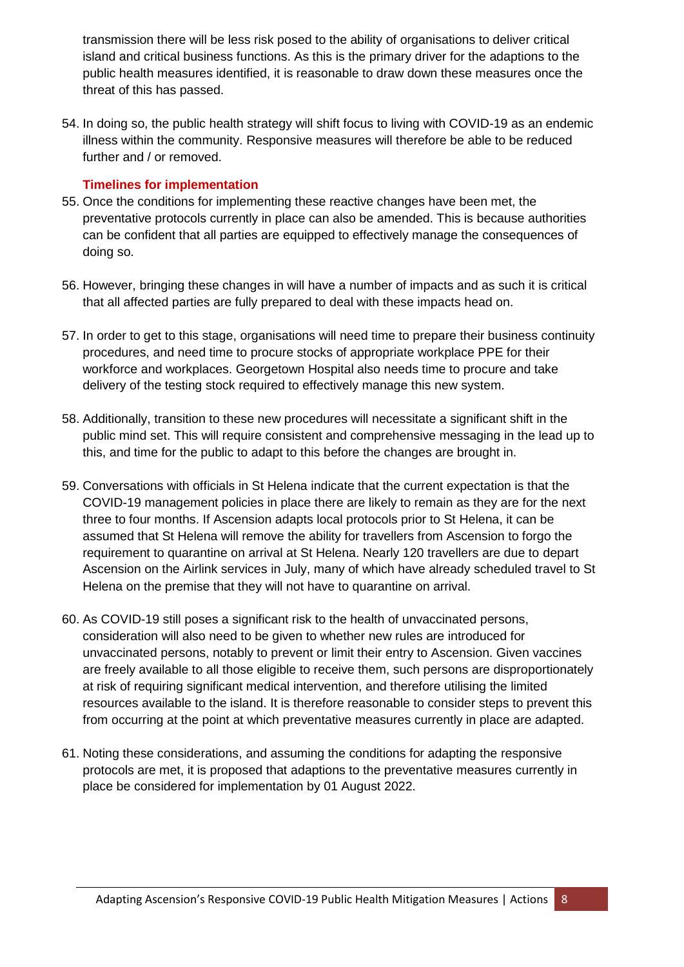transmission there will be less risk posed to the ability of organisations to deliver critical island and critical business functions. As this is the primary driver for the adaptions to the public health measures identified, it is reasonable to draw down these measures once the threat of this has passed.

54. In doing so, the public health strategy will shift focus to living with COVID-19 as an endemic illness within the community. Responsive measures will therefore be able to be reduced further and / or removed.

#### <span id="page-7-0"></span>**Timelines for implementation**

- 55. Once the conditions for implementing these reactive changes have been met, the preventative protocols currently in place can also be amended. This is because authorities can be confident that all parties are equipped to effectively manage the consequences of doing so.
- 56. However, bringing these changes in will have a number of impacts and as such it is critical that all affected parties are fully prepared to deal with these impacts head on.
- 57. In order to get to this stage, organisations will need time to prepare their business continuity procedures, and need time to procure stocks of appropriate workplace PPE for their workforce and workplaces. Georgetown Hospital also needs time to procure and take delivery of the testing stock required to effectively manage this new system.
- 58. Additionally, transition to these new procedures will necessitate a significant shift in the public mind set. This will require consistent and comprehensive messaging in the lead up to this, and time for the public to adapt to this before the changes are brought in.
- 59. Conversations with officials in St Helena indicate that the current expectation is that the COVID-19 management policies in place there are likely to remain as they are for the next three to four months. If Ascension adapts local protocols prior to St Helena, it can be assumed that St Helena will remove the ability for travellers from Ascension to forgo the requirement to quarantine on arrival at St Helena. Nearly 120 travellers are due to depart Ascension on the Airlink services in July, many of which have already scheduled travel to St Helena on the premise that they will not have to quarantine on arrival.
- 60. As COVID-19 still poses a significant risk to the health of unvaccinated persons, consideration will also need to be given to whether new rules are introduced for unvaccinated persons, notably to prevent or limit their entry to Ascension. Given vaccines are freely available to all those eligible to receive them, such persons are disproportionately at risk of requiring significant medical intervention, and therefore utilising the limited resources available to the island. It is therefore reasonable to consider steps to prevent this from occurring at the point at which preventative measures currently in place are adapted.
- 61. Noting these considerations, and assuming the conditions for adapting the responsive protocols are met, it is proposed that adaptions to the preventative measures currently in place be considered for implementation by 01 August 2022.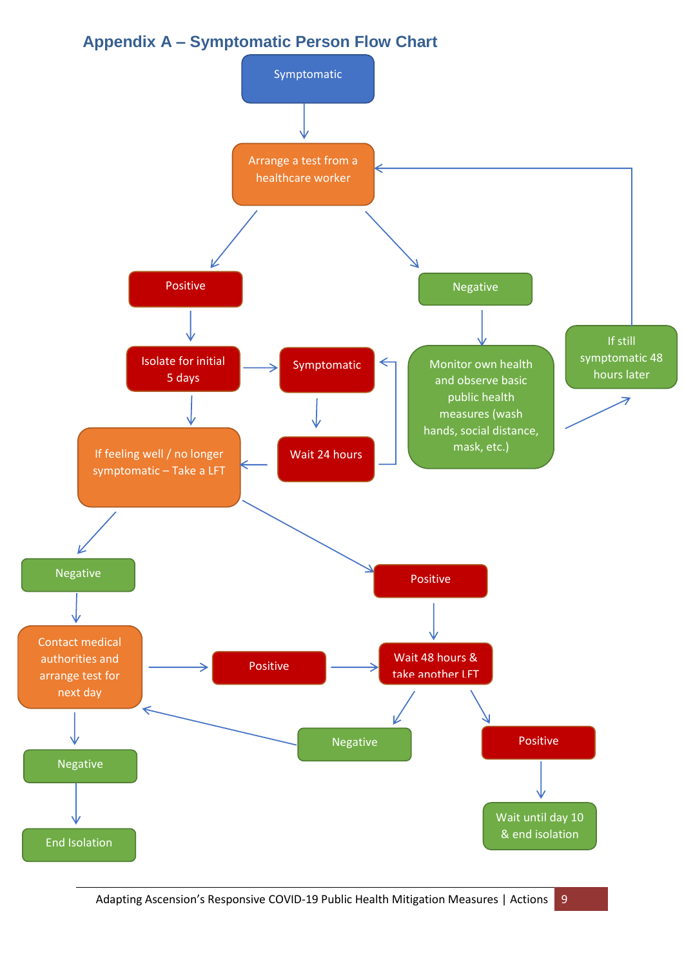## <span id="page-8-0"></span>**Appendix A – Symptomatic Person Flow Chart**



Adapting Ascension's Responsive COVID-19 Public Health Mitigation Measures | Actions 9